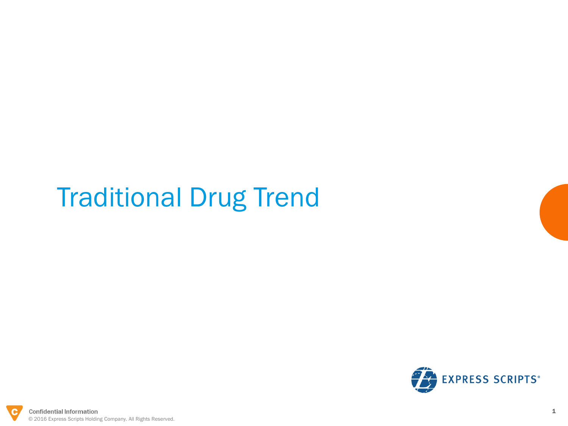# Traditional Drug Trend

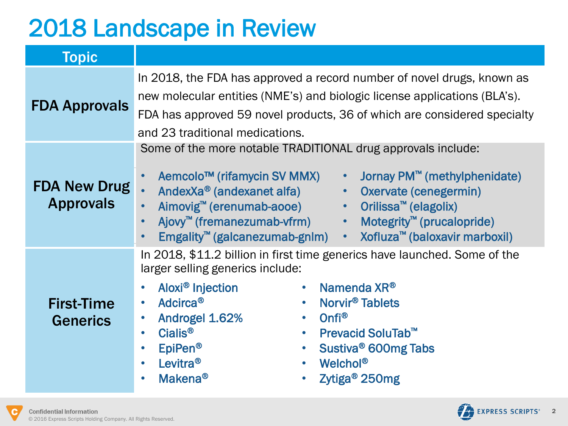### 2018 Landscape in Review

| <b>Topic</b>                            |                                                                                                                                                                                                                                                                                                                                                                                                                                                                                                                                                                |
|-----------------------------------------|----------------------------------------------------------------------------------------------------------------------------------------------------------------------------------------------------------------------------------------------------------------------------------------------------------------------------------------------------------------------------------------------------------------------------------------------------------------------------------------------------------------------------------------------------------------|
| <b>FDA Approvals</b>                    | In 2018, the FDA has approved a record number of novel drugs, known as<br>new molecular entities (NME's) and biologic license applications (BLA's).<br>FDA has approved 59 novel products, 36 of which are considered specialty<br>and 23 traditional medications.                                                                                                                                                                                                                                                                                             |
| <b>FDA New Drug</b><br><b>Approvals</b> | Some of the more notable TRADITIONAL drug approvals include:<br>Jornay PM <sup>™</sup> (methylphenidate)<br>Aemcolo <sup>™</sup> (rifamycin SV MMX)<br>$\bullet$ .<br>AndexXa <sup>®</sup> (andexanet alfa)<br>$\bullet$ .<br>Oxervate (cenegermin)<br>Aimovig <sup>™</sup> (erenumab-aooe)<br>• Orilissa <sup>™</sup> (elagolix)<br>$\bullet$<br>Ajovy <sup>™</sup> (fremanezumab-vfrm) •<br>Motegrity <sup>™</sup> (prucalopride)<br>Emgality <sup>™</sup> (galcanezumab-gnlm) • Xofluza <sup>™</sup> (baloxavir marboxil)                                   |
| <b>First-Time</b><br><b>Generics</b>    | In 2018, \$11.2 billion in first time generics have launched. Some of the<br>larger selling generics include:<br>Aloxi <sup>®</sup> Injection<br>Namenda XR®<br>$\bullet$<br>Adcirca <sup>®</sup><br>Norvir <sup>®</sup> Tablets<br>$\bullet$<br>$\bullet$<br>Onfi <sup>®</sup><br>Androgel 1.62%<br>$\bullet$<br>Cialis <sup>®</sup><br>Prevacid SoluTab <sup>™</sup><br>$\bullet$<br>EpiPen <sup>®</sup><br>Sustiva <sup>®</sup> 600mg Tabs<br>$\bullet$<br>Levitra <sup>®</sup><br>Welchol <sup>®</sup><br>Makena <sup>®</sup><br>Zytiga <sup>®</sup> 250mg |

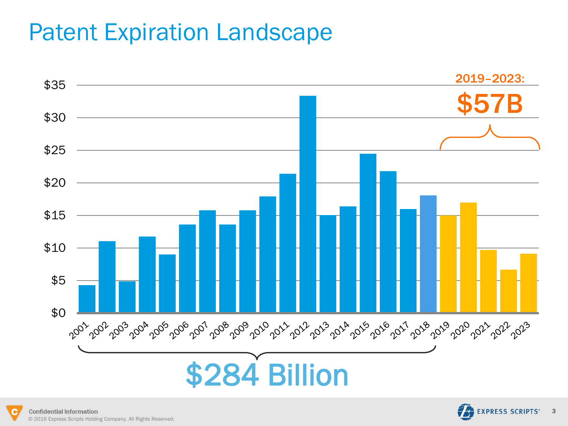#### Patent Expiration Landscape





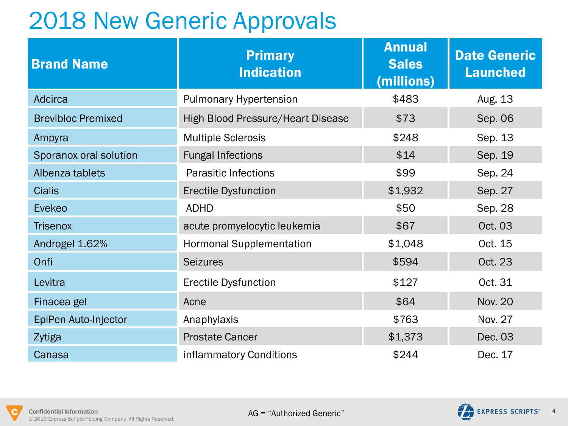### 2018 New Generic Approvals

| <b>Brand Name</b>         | <b>Primary</b><br><b>Indication</b>      | <b>Annual</b><br><b>Sales</b><br>(millions) | <b>Date Generic</b><br><b>Launched</b> |
|---------------------------|------------------------------------------|---------------------------------------------|----------------------------------------|
| Adcirca                   | <b>Pulmonary Hypertension</b>            | \$483                                       | Aug. 13                                |
| <b>Brevibloc Premixed</b> | <b>High Blood Pressure/Heart Disease</b> | \$73                                        | Sep. 06                                |
| Ampyra                    | <b>Multiple Sclerosis</b>                | \$248                                       | Sep. 13                                |
| Sporanox oral solution    | <b>Fungal Infections</b>                 | \$14                                        | Sep. 19                                |
| Albenza tablets           | <b>Parasitic Infections</b>              | \$99                                        | Sep. 24                                |
| <b>Cialis</b>             | <b>Erectile Dysfunction</b>              | \$1,932                                     | Sep. 27                                |
| Evekeo                    | <b>ADHD</b>                              | \$50                                        | Sep. 28                                |
| <b>Trisenox</b>           | acute promyelocytic leukemia             | \$67                                        | Oct. 03                                |
| Androgel 1.62%            | <b>Hormonal Supplementation</b>          | \$1,048                                     | Oct. 15                                |
| Onfi                      | <b>Seizures</b>                          | \$594                                       | Oct. 23                                |
| Levitra                   | <b>Erectile Dysfunction</b>              | \$127                                       | Oct. 31                                |
| Finacea gel               | Acne                                     | \$64                                        | <b>Nov. 20</b>                         |
| EpiPen Auto-Injector      | Anaphylaxis                              | \$763                                       | <b>Nov. 27</b>                         |
| Zytiga                    | <b>Prostate Cancer</b>                   | \$1,373                                     | Dec. 03                                |
| Canasa                    | inflammatory Conditions                  | \$244                                       | Dec. 17                                |

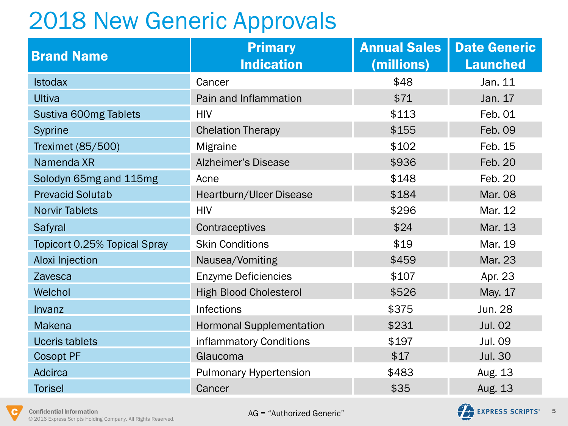#### 2018 New Generic Approvals

|                              | <b>Primary</b>                  | <b>Annual Sales</b> | <b>Date Generic</b> |
|------------------------------|---------------------------------|---------------------|---------------------|
| <b>Brand Name</b>            | <b>Indication</b>               | (millions)          | <b>Launched</b>     |
| <b>Istodax</b>               | Cancer                          | \$48                | Jan. 11             |
| <b>Ultiva</b>                | Pain and Inflammation           | \$71                | Jan. 17             |
| Sustiva 600mg Tablets        | <b>HIV</b>                      | \$113               | Feb. 01             |
| <b>Syprine</b>               | <b>Chelation Therapy</b>        | \$155               | Feb. 09             |
| Treximet (85/500)            | Migraine                        | \$102               | Feb. 15             |
| Namenda XR                   | <b>Alzheimer's Disease</b>      | \$936               | Feb. 20             |
| Solodyn 65mg and 115mg       | Acne                            | \$148               | Feb. 20             |
| <b>Prevacid Solutab</b>      | Heartburn/Ulcer Disease         | \$184               | <b>Mar. 08</b>      |
| <b>Norvir Tablets</b>        | <b>HIV</b>                      | \$296               | Mar. 12             |
| Safyral                      | Contraceptives                  | \$24                | Mar. 13             |
| Topicort 0.25% Topical Spray | <b>Skin Conditions</b>          | \$19                | Mar. 19             |
| Aloxi Injection              | Nausea/Vomiting                 | \$459               | Mar. 23             |
| Zavesca                      | <b>Enzyme Deficiencies</b>      | \$107               | Apr. 23             |
| Welchol                      | <b>High Blood Cholesterol</b>   | \$526               | May. 17             |
| Invanz                       | <b>Infections</b>               | \$375               | Jun. 28             |
| <b>Makena</b>                | <b>Hormonal Supplementation</b> | \$231               | Jul. 02             |
| <b>Uceris tablets</b>        | inflammatory Conditions         | \$197               | Jul. 09             |
| <b>Cosopt PF</b>             | Glaucoma                        | \$17                | <b>Jul. 30</b>      |
| Adcirca                      | <b>Pulmonary Hypertension</b>   | \$483               | Aug. 13             |
| <b>Torisel</b>               | Cancer                          | \$35                | Aug. 13             |



5

**Confidential Information** © 2016 Express Scripts Holding Company. All Rights Reserved.

AG = "Authorized Generic"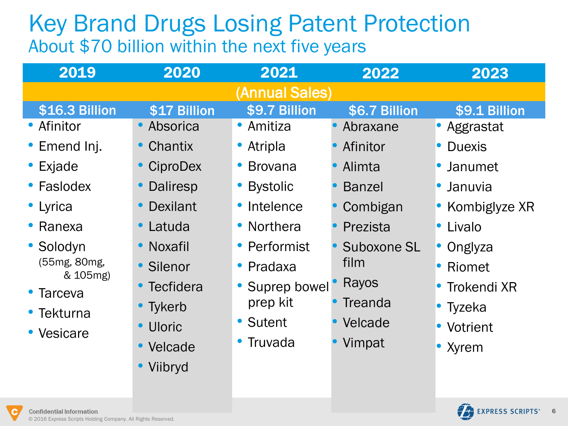#### Key Brand Drugs Losing Patent Protection About \$70 billion within the next five years

| 2019                     | 2020         | 2021           | 2022          | 2023                 |  |  |
|--------------------------|--------------|----------------|---------------|----------------------|--|--|
| (Annual Sales)           |              |                |               |                      |  |  |
| \$16.3 Billion           | \$17 Billion | \$9.7 Billion  | \$6.7 Billion | \$9.1 Billion        |  |  |
| • Afinitor               | • Absorica   | • Amitiza      | Abraxane      | • Aggrastat          |  |  |
| • Emend Inj.             | • Chantix    | • Atripla      | Afinitor      | • Duexis             |  |  |
| • Exjade                 | • CiproDex   | • Brovana      | Alimta        | • Janumet            |  |  |
| • Faslodex               | • Daliresp   | • Bystolic     | <b>Banzel</b> | Januvia<br>$\bullet$ |  |  |
| • Lyrica                 | • Dexilant   | • Intelence    | Combigan      | • Kombiglyze XR      |  |  |
| • Ranexa                 | • Latuda     | • Northera     | Prezista      | • Livalo             |  |  |
| • Solodyn                | • Noxafil    | • Performist   | Suboxone SL   | • Onglyza            |  |  |
| (55mg, 80mg,<br>& 105mg) | • Silenor    | • Pradaxa      | film          | Riomet               |  |  |
| • Tarceva                | • Tecfidera  | • Suprep bowel | Rayos         | • Trokendi XR        |  |  |
| • Tekturna               | • Tykerb     | prep kit       | Treanda       | • Tyzeka             |  |  |
| • Vesicare               | • Uloric     | • Sutent       | Velcade       | • Votrient           |  |  |
|                          | • Velcade    | • Truvada      | Vimpat        | • Xyrem              |  |  |
|                          | • Viibryd    |                |               |                      |  |  |
|                          |              |                |               |                      |  |  |

**Confidential Information** © 2016 Express Scripts Holding Company. All Rights Reserved. **EXPRESS SCRIPTS®** 

73

6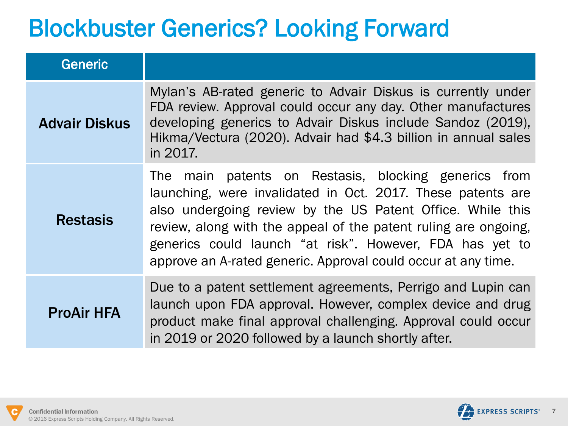### Blockbuster Generics? Looking Forward

| <b>Generic</b>       |                                                                                                                                                                                                                                                                                                                                                                                   |
|----------------------|-----------------------------------------------------------------------------------------------------------------------------------------------------------------------------------------------------------------------------------------------------------------------------------------------------------------------------------------------------------------------------------|
| <b>Advair Diskus</b> | Mylan's AB-rated generic to Advair Diskus is currently under<br>FDA review. Approval could occur any day. Other manufactures<br>developing generics to Advair Diskus include Sandoz (2019),<br>Hikma/Vectura (2020). Advair had \$4.3 billion in annual sales<br>in 2017.                                                                                                         |
| <b>Restasis</b>      | The main patents on Restasis, blocking generics from<br>launching, were invalidated in Oct. 2017. These patents are<br>also undergoing review by the US Patent Office. While this<br>review, along with the appeal of the patent ruling are ongoing,<br>generics could launch "at risk". However, FDA has yet to<br>approve an A-rated generic. Approval could occur at any time. |
| <b>ProAir HFA</b>    | Due to a patent settlement agreements, Perrigo and Lupin can<br>launch upon FDA approval. However, complex device and drug<br>product make final approval challenging. Approval could occur<br>in 2019 or 2020 followed by a launch shortly after.                                                                                                                                |



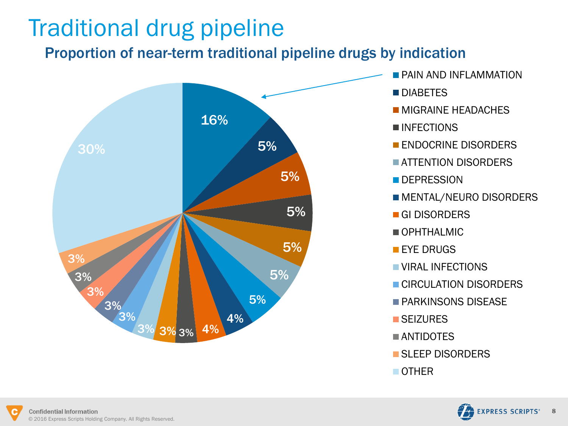### Traditional drug pipeline

Proportion of near-term traditional pipeline drugs by indication



- **PAIN AND INFLAMMATION** 
	- **DIABETES**
	- **MIGRAINE HEADACHES**
- INFECTIONS
- **ENDOCRINE DISORDERS**
- **ATTENTION DISORDERS**
- **DEPRESSION**
- **MENTAL/NEURO DISORDERS**
- **GI DISORDERS**
- OPHTHAI MIC
- **EYE DRUGS**
- VIRAL INFECTIONS
- CIRCULATION DISORDERS
- **PARKINSONS DISFASE**
- SEIZURES
- **ANTIDOTES**
- **SLEEP DISORDERS**
- **COTHER**

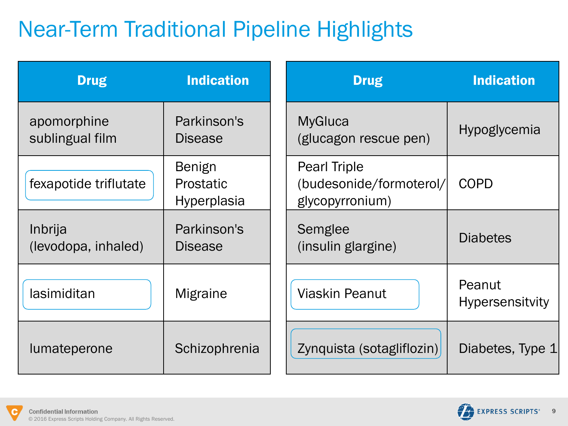#### Near-Term Traditional Pipeline Highlights

| <b>Drug</b>                    | <b>Indication</b>                                | <b>Drug</b>                                                        | <b>Indication</b>                |
|--------------------------------|--------------------------------------------------|--------------------------------------------------------------------|----------------------------------|
| apomorphine<br>sublingual film | Parkinson's<br><b>Disease</b>                    | <b>MyGluca</b><br>(glucagon rescue pen)                            | <b>Hypoglycemia</b>              |
| fexapotide triflutate          | Benign<br><b>Prostatic</b><br><b>Hyperplasia</b> | <b>Pearl Triple</b><br>//budesonide/formoterol)<br>glycopyrronium) | <b>COPD</b>                      |
| Inbrija<br>(levodopa, inhaled) | Parkinson's<br><b>Disease</b>                    | Semglee<br>(insulin glargine)                                      | <b>Diabetes</b>                  |
| lasimiditan                    | Migraine                                         | <b>Viaskin Peanut</b>                                              | Peanut<br><b>Hypersensitvity</b> |
| lumateperone                   | Schizophrenia                                    | Zynquista (sotagliflozin)                                          | Diabetes, Type 1                 |

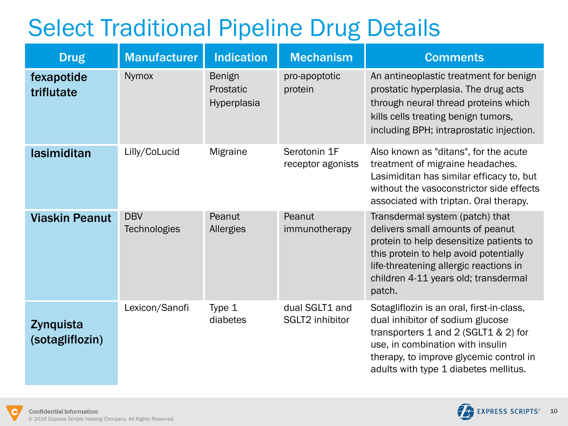### Select Traditional Pipeline Drug Details

| <b>Drug</b>                  | <b>Manufacturer</b>               | <b>Indication</b>                         | <b>Mechanism</b>                  | <b>Comments</b>                                                                                                                                                                                                                                      |
|------------------------------|-----------------------------------|-------------------------------------------|-----------------------------------|------------------------------------------------------------------------------------------------------------------------------------------------------------------------------------------------------------------------------------------------------|
| fexapotide<br>triflutate     | Nymox                             | <b>Benign</b><br>Prostatic<br>Hyperplasia | pro-apoptotic<br>protein          | An antineoplastic treatment for benign<br>prostatic hyperplasia. The drug acts<br>through neural thread proteins which<br>kills cells treating benign tumors,<br>including BPH; intraprostatic injection.                                            |
| lasimiditan                  | Lilly/CoLucid                     | Migraine                                  | Serotonin 1F<br>receptor agonists | Also known as "ditans", for the acute<br>treatment of migraine headaches.<br>Lasimiditan has similar efficacy to, but<br>without the vasoconstrictor side effects<br>associated with triptan. Oral therapy.                                          |
| <b>Viaskin Peanut</b>        | <b>DBV</b><br><b>Technologies</b> | Peanut<br>Allergies                       | Peanut<br>immunotherapy           | Transdermal system (patch) that<br>delivers small amounts of peanut<br>protein to help desensitize patients to<br>this protein to help avoid potentially<br>life-threatening allergic reactions in<br>children 4-11 years old; transdermal<br>patch. |
| Zynquista<br>(sotagliflozin) | Lexicon/Sanofi                    | Type 1<br>diabetes                        | dual SGLT1 and<br>SGLT2 inhibitor | Sotagliflozin is an oral, first-in-class,<br>dual inhibitor of sodium glucose<br>transporters 1 and 2 (SGLT1 & 2) for<br>use, in combination with insulin<br>therapy, to improve glycemic control in<br>adults with type 1 diabetes mellitus.        |

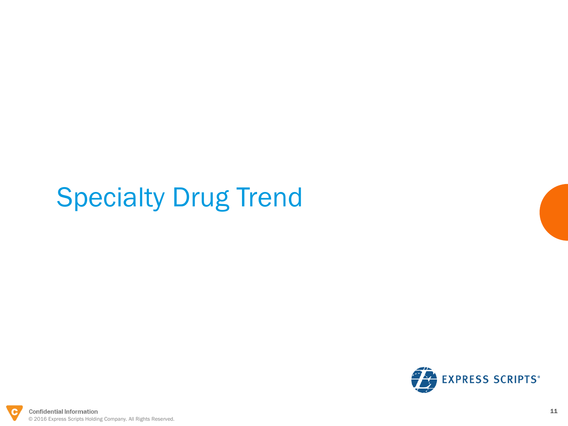# Specialty Drug Trend



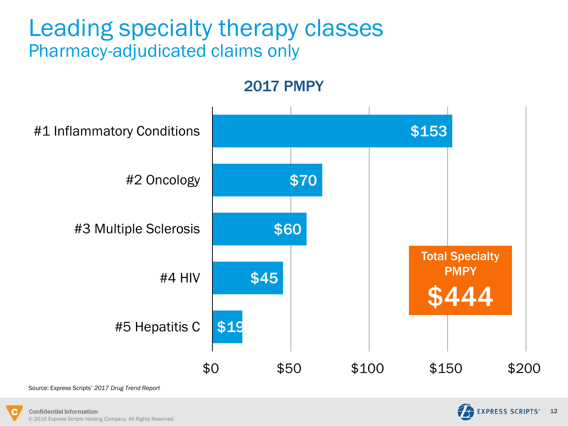#### Leading specialty therapy classes Pharmacy-adjudicated claims only

#### 2017 PMPY



Source: Express Scripts' *2017 Drug Trend Report*



**Confidential Information** © 2016 Express Scripts Holding Company. All Rights Reserved.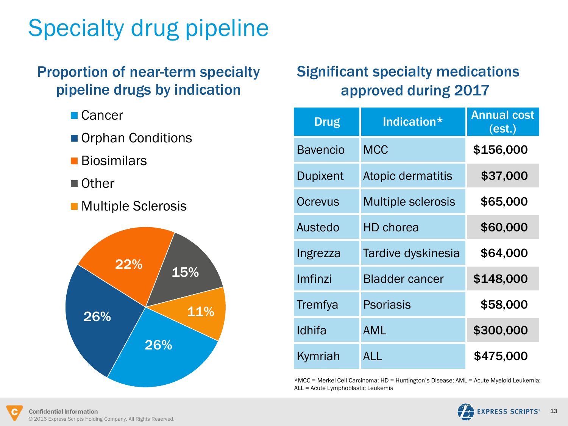### Specialty drug pipeline

#### Proportion of near-term specialty pipeline drugs by indication

- Cancer
- Orphan Conditions
- Biosimilars
- Other
- Multiple Sclerosis



#### Significant specialty medications approved during 2017

| <b>Drug</b>     | Indication*               | <b>Annual cost</b><br>(est.) |
|-----------------|---------------------------|------------------------------|
| <b>Bavencio</b> | <b>MCC</b>                | \$156,000                    |
| <b>Dupixent</b> | Atopic dermatitis         | \$37,000                     |
| Ocrevus         | <b>Multiple sclerosis</b> | \$65,000                     |
| Austedo         | <b>HD</b> chorea          | \$60,000                     |
| Ingrezza        | Tardive dyskinesia        | \$64,000                     |
| Imfinzi         | <b>Bladder cancer</b>     | \$148,000                    |
| Tremfya         | <b>Psoriasis</b>          | \$58,000                     |
| Idhifa          | AML                       | \$300,000                    |
| Kymriah         | ALL                       | \$475,000                    |

\*MCC = Merkel Cell Carcinoma; HD = Huntington's Disease; AML = Acute Myeloid Leukemia; ALL = Acute Lymphoblastic Leukemia

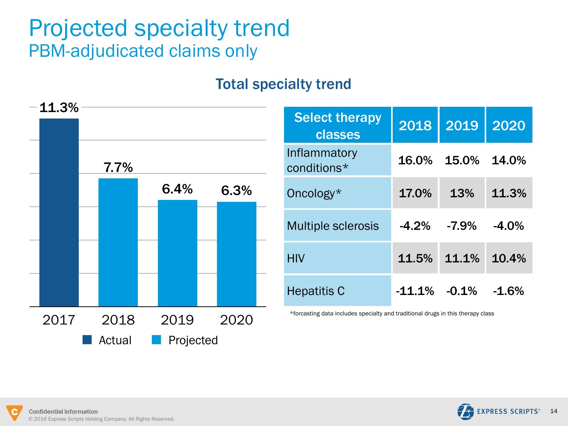#### Projected specialty trend PBM-adjudicated claims only

#### Total specialty trend



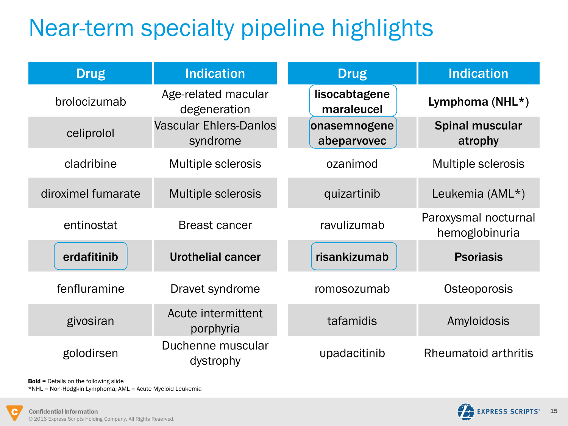### Near-term specialty pipeline highlights

| <b>Drug</b>        | <b>Indication</b>                         | <b>Drug</b>                 | <b>Indication</b>                      |
|--------------------|-------------------------------------------|-----------------------------|----------------------------------------|
| brolocizumab       | Age-related macular<br>degeneration       | lisocabtagene<br>maraleucel | Lymphoma (NHL*)                        |
| celiprolol         | <b>Vascular Ehlers-Danlos</b><br>syndrome | onasemnogene<br>abeparvovec | <b>Spinal muscular</b><br>atrophy      |
| cladribine         | <b>Multiple sclerosis</b>                 | ozanimod                    | <b>Multiple sclerosis</b>              |
| diroximel fumarate | <b>Multiple sclerosis</b>                 | quizartinib                 | Leukemia (AML*)                        |
| entinostat         | <b>Breast cancer</b>                      | ravulizumab                 | Paroxysmal nocturnal<br>hemoglobinuria |
| erdafitinib        | <b>Urothelial cancer</b>                  | risankizumab                | <b>Psoriasis</b>                       |
| fenfluramine       | Dravet syndrome                           | romosozumab                 | Osteoporosis                           |
| givosiran          | Acute intermittent<br>porphyria           | tafamidis                   | Amyloidosis                            |
| golodirsen         | Duchenne muscular<br>dystrophy            | upadacitinib                | <b>Rheumatoid arthritis</b>            |

Bold = Details on the following slide

\*NHL = Non-Hodgkin Lymphoma; AML = Acute Myeloid Leukemia

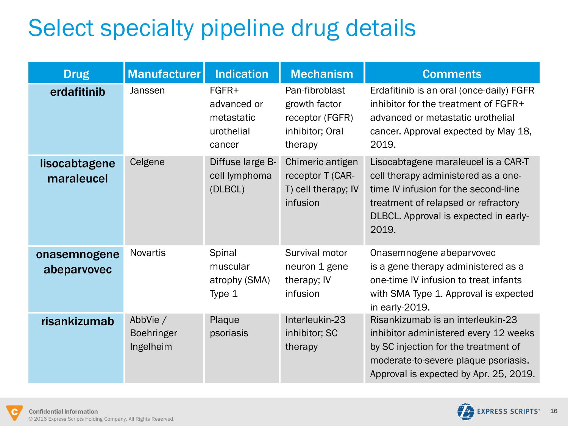### Select specialty pipeline drug details

| <b>Drug</b>                 | <b>Manufacturer</b>                        | <b>Indication</b>                                            | <b>Mechanism</b>                                                                 | <b>Comments</b>                                                                                                                                                                                             |
|-----------------------------|--------------------------------------------|--------------------------------------------------------------|----------------------------------------------------------------------------------|-------------------------------------------------------------------------------------------------------------------------------------------------------------------------------------------------------------|
| erdafitinib                 | Janssen                                    | $FGFR+$<br>advanced or<br>metastatic<br>urothelial<br>cancer | Pan-fibroblast<br>growth factor<br>receptor (FGFR)<br>inhibitor; Oral<br>therapy | Erdafitinib is an oral (once-daily) FGFR<br>inhibitor for the treatment of FGFR+<br>advanced or metastatic urothelial<br>cancer. Approval expected by May 18,<br>2019.                                      |
| lisocabtagene<br>maraleucel | Celgene                                    | Diffuse large B-<br>cell lymphoma<br>(DLBCL)                 | Chimeric antigen<br>receptor T (CAR-<br>T) cell therapy; IV<br>infusion          | Lisocabtagene maraleucel is a CAR-T<br>cell therapy administered as a one-<br>time IV infusion for the second-line<br>treatment of relapsed or refractory<br>DLBCL. Approval is expected in early-<br>2019. |
| onasemnogene<br>abeparvovec | <b>Novartis</b>                            | Spinal<br>muscular<br>atrophy (SMA)<br>Type 1                | Survival motor<br>neuron 1 gene<br>therapy; IV<br>infusion                       | Onasemnogene abeparvovec<br>is a gene therapy administered as a<br>one-time IV infusion to treat infants<br>with SMA Type 1. Approval is expected<br>in early-2019.                                         |
| risankizumab                | AbbVie /<br><b>Boehringer</b><br>Ingelheim | Plaque<br>psoriasis                                          | Interleukin-23<br>inhibitor; SC<br>therapy                                       | Risankizumab is an interleukin-23<br>inhibitor administered every 12 weeks<br>by SC injection for the treatment of<br>moderate-to-severe plaque psoriasis.<br>Approval is expected by Apr. 25, 2019.        |



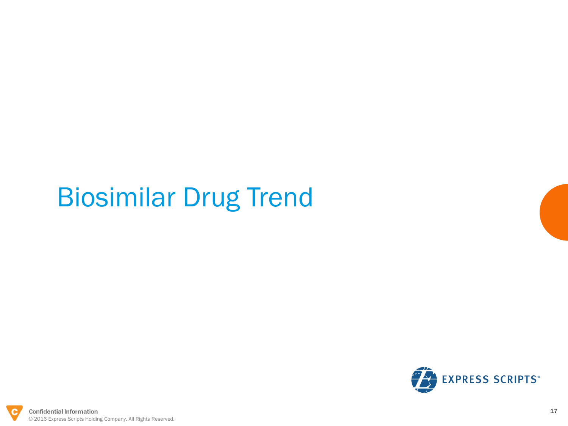# Biosimilar Drug Trend

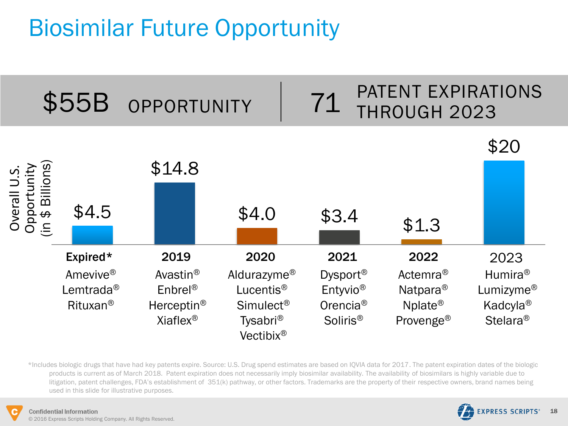### Biosimilar Future Opportunity



\*Includes biologic drugs that have had key patents expire. Source: U.S. Drug spend estimates are based on IQVIA data for 2017. The patent expiration dates of the biologic products is current as of March 2018. Patent expiration does not necessarily imply biosimilar availability. The availability of biosimilars is highly variable due to litigation, patent challenges, FDA's establishment of 351(k) pathway, or other factors. Trademarks are the property of their respective owners, brand names being used in this slide for illustrative purposes.

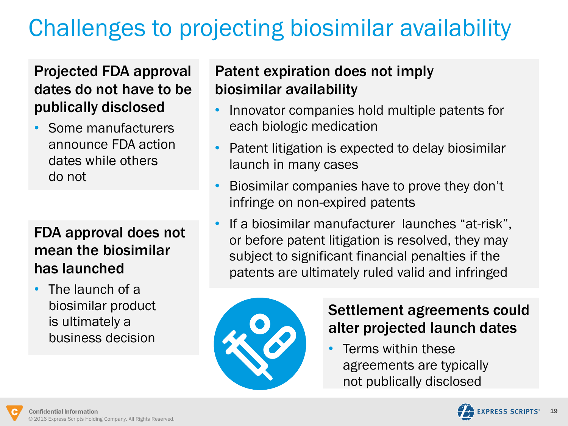## Challenges to projecting biosimilar availability

#### Projected FDA approval dates do not have to be publically disclosed

• Some manufacturers announce FDA action dates while others do not

#### FDA approval does not mean the biosimilar has launched

• The launch of a biosimilar product is ultimately a business decision

#### Patent expiration does not imply biosimilar availability

- Innovator companies hold multiple patents for each biologic medication
- Patent litigation is expected to delay biosimilar launch in many cases
- Biosimilar companies have to prove they don't infringe on non-expired patents
- If a biosimilar manufacturer launches "at-risk", or before patent litigation is resolved, they may subject to significant financial penalties if the patents are ultimately ruled valid and infringed



#### Settlement agreements could alter projected launch dates

• Terms within these agreements are typically not publically disclosed



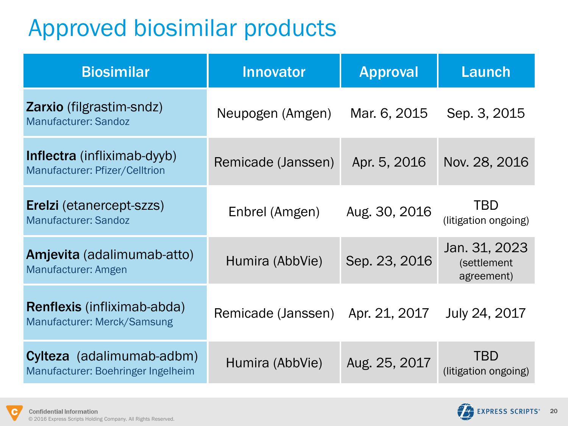### Approved biosimilar products

| <b>Biosimilar</b>                                                    | <b>Innovator</b>   | <b>Approval</b> | Launch                                     |
|----------------------------------------------------------------------|--------------------|-----------------|--------------------------------------------|
| <b>Zarxio</b> (filgrastim-sndz)<br><b>Manufacturer: Sandoz</b>       | Neupogen (Amgen)   | Mar. 6, 2015    | Sep. 3, 2015                               |
| <b>Inflectra</b> (infliximab-dyyb)<br>Manufacturer: Pfizer/Celltrion | Remicade (Janssen) | Apr. 5, 2016    | Nov. 28, 2016                              |
| <b>Erelzi</b> (etanercept-szzs)<br><b>Manufacturer: Sandoz</b>       | Enbrel (Amgen)     | Aug. 30, 2016   | <b>TBD</b><br>(litigation ongoing)         |
| <b>Amjevita</b> (adalimumab-atto)<br>Manufacturer: Amgen             | Humira (AbbVie)    | Sep. 23, 2016   | Jan. 31, 2023<br>(settlement<br>agreement) |
| <b>Renflexis</b> (infliximab-abda)<br>Manufacturer: Merck/Samsung    | Remicade (Janssen) | Apr. 21, 2017   | July 24, 2017                              |
| Cylteza (adalimumab-adbm)<br>Manufacturer: Boehringer Ingelheim      | Humira (AbbVie)    | Aug. 25, 2017   | <b>TBD</b><br>(litigation ongoing)         |

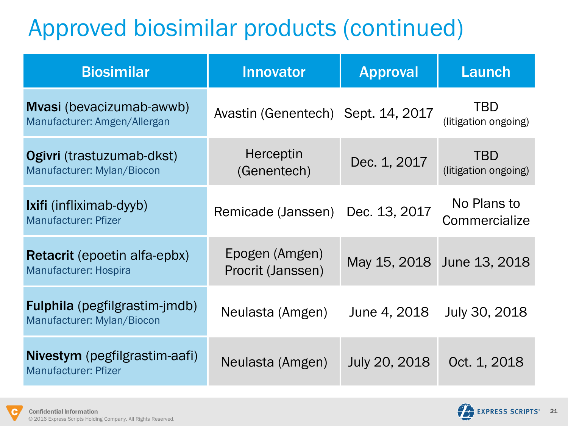## Approved biosimilar products (continued)

| <b>Biosimilar</b>                                                  | <b>Innovator</b>                    | <b>Approval</b> | Launch                             |
|--------------------------------------------------------------------|-------------------------------------|-----------------|------------------------------------|
| Mvasi (bevacizumab-awwb)<br>Manufacturer: Amgen/Allergan           | Avastin (Genentech) Sept. 14, 2017  |                 | <b>TBD</b><br>(litigation ongoing) |
| <b>Ogivri</b> (trastuzumab-dkst)<br>Manufacturer: Mylan/Biocon     | Herceptin<br>(Genentech)            | Dec. 1, 2017    | <b>TBD</b><br>(litigation ongoing) |
| <b>Ixifi</b> (infliximab-dyyb)<br><b>Manufacturer: Pfizer</b>      | Remicade (Janssen) Dec. 13, 2017    |                 | No Plans to<br>Commercialize       |
| <b>Retacrit</b> (epoetin alfa-epbx)<br>Manufacturer: Hospira       | Epogen (Amgen)<br>Procrit (Janssen) | May 15, 2018    | June 13, 2018                      |
| <b>Fulphila</b> (pegfilgrastim-jmdb)<br>Manufacturer: Mylan/Biocon | Neulasta (Amgen)                    | June 4, 2018    | July 30, 2018                      |
| Nivestym (pegfilgrastim-aafi)<br><b>Manufacturer: Pfizer</b>       | Neulasta (Amgen)                    | July 20, 2018   | Oct. 1, 2018                       |



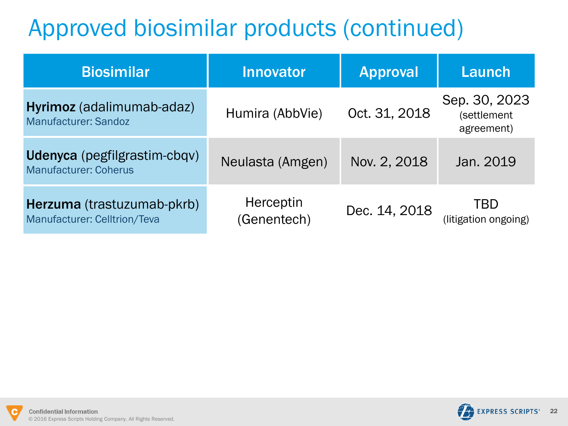## Approved biosimilar products (continued)

| <b>Biosimilar</b>                                            | <b>Innovator</b>         | Approval      | Launch                                     |
|--------------------------------------------------------------|--------------------------|---------------|--------------------------------------------|
| Hyrimoz (adalimumab-adaz)<br><b>Manufacturer: Sandoz</b>     | Humira (AbbVie)          | Oct. 31, 2018 | Sep. 30, 2023<br>(settlement<br>agreement) |
| Udenyca (pegfilgrastim-cbqv)<br><b>Manufacturer: Coherus</b> | Neulasta (Amgen)         | Nov. 2, 2018  | Jan. 2019                                  |
| Herzuma (trastuzumab-pkrb)<br>Manufacturer: Celltrion/Teva   | Herceptin<br>(Genentech) | Dec. 14, 2018 | TBD<br>(litigation ongoing)                |